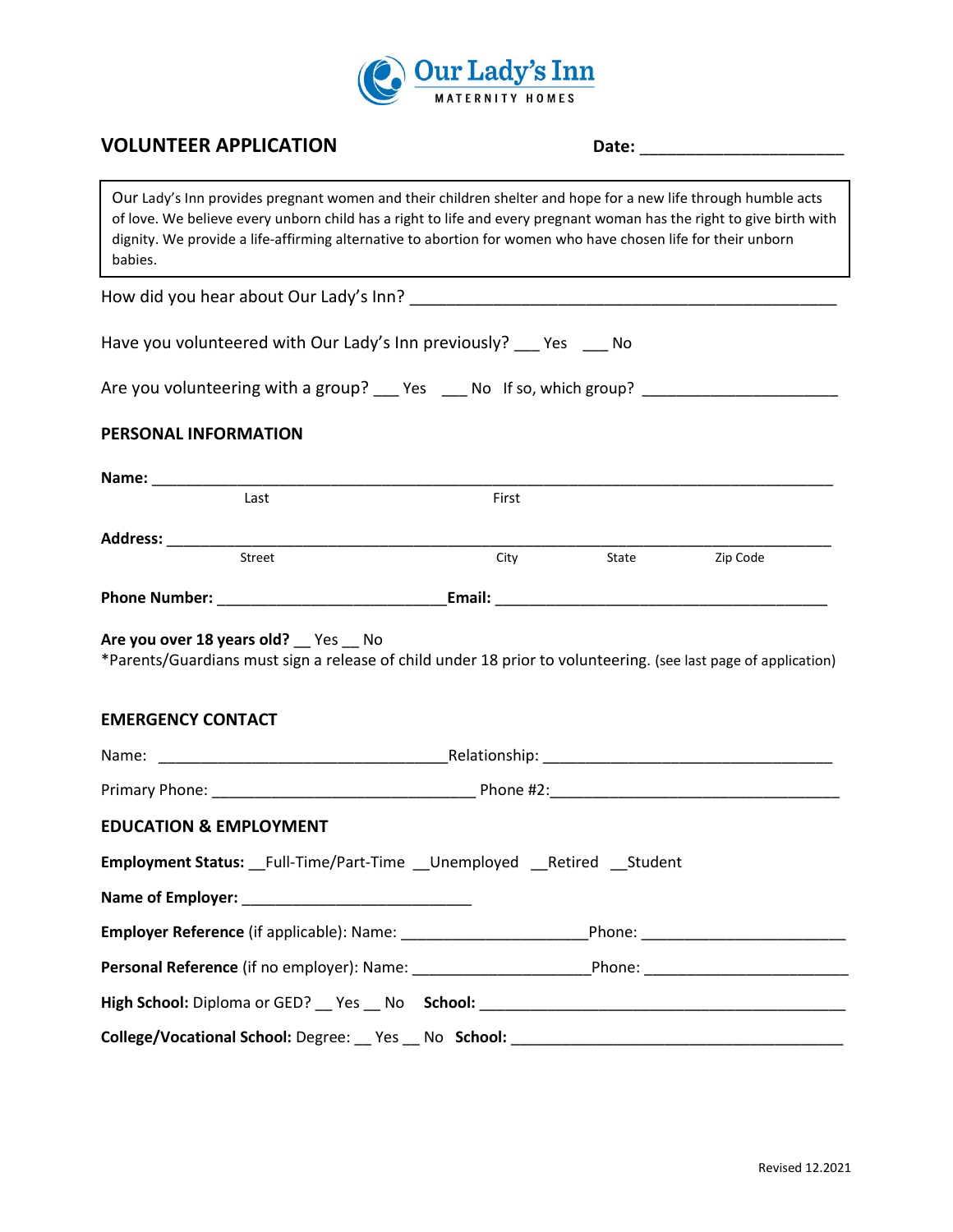

# **VOLUNTEER APPLICATION Date:** \_\_\_\_\_\_\_\_\_\_\_\_\_\_\_\_\_\_\_\_\_\_

Our Lady's Inn provides pregnant women and their children shelter and hope for a new life through humble acts of love. We believe every unborn child has a right to life and every pregnant woman has the right to give birth with dignity. We provide a life-affirming alternative to abortion for women who have chosen life for their unborn babies.

How did you hear about Our Lady's Inn? \_\_\_\_\_\_\_\_\_\_\_\_\_\_\_\_\_\_\_\_\_\_\_\_\_\_\_\_\_\_\_\_\_\_\_\_\_\_\_\_\_\_\_\_\_\_

Have you volunteered with Our Lady's Inn previously? \_\_\_ Yes \_\_\_ No

| Are you volunteering with a group? ___ Yes ___ No If so, which group? |  |  |  |  |
|-----------------------------------------------------------------------|--|--|--|--|
|-----------------------------------------------------------------------|--|--|--|--|

# **PERSONAL INFORMATION**

| Last                                                                                                                                                      | First |  |                |
|-----------------------------------------------------------------------------------------------------------------------------------------------------------|-------|--|----------------|
|                                                                                                                                                           |       |  |                |
| Street                                                                                                                                                    | City  |  | State Zip Code |
|                                                                                                                                                           |       |  |                |
| Are you over 18 years old? __ Yes __ No<br>*Parents/Guardians must sign a release of child under 18 prior to volunteering. (see last page of application) |       |  |                |
| <b>EMERGENCY CONTACT</b>                                                                                                                                  |       |  |                |
|                                                                                                                                                           |       |  |                |
|                                                                                                                                                           |       |  |                |
| <b>EDUCATION &amp; EMPLOYMENT</b>                                                                                                                         |       |  |                |
| Employment Status: Full-Time/Part-Time    Unemployed    Retired    Student                                                                                |       |  |                |
|                                                                                                                                                           |       |  |                |
|                                                                                                                                                           |       |  |                |
|                                                                                                                                                           |       |  |                |
|                                                                                                                                                           |       |  |                |
|                                                                                                                                                           |       |  |                |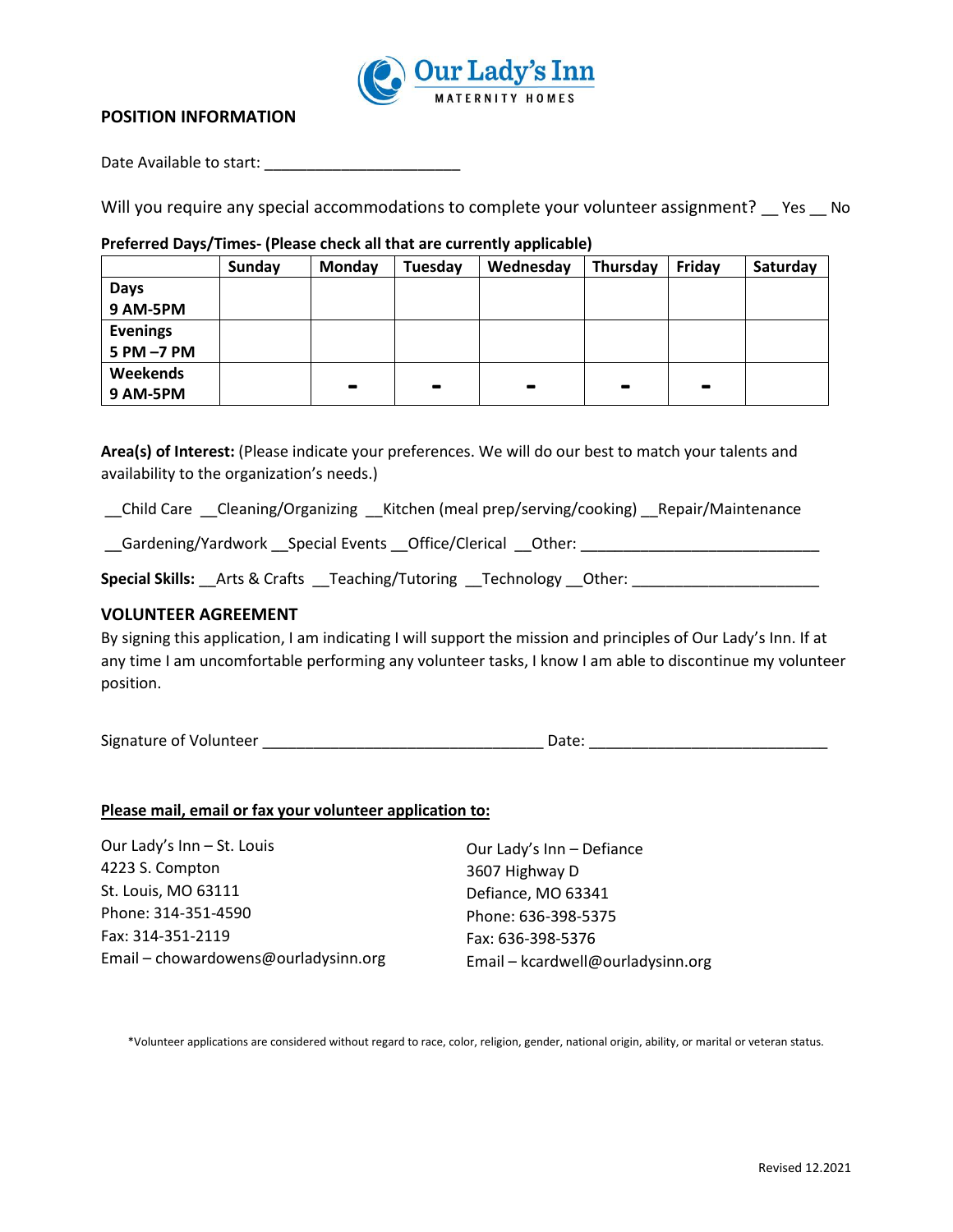

## **POSITION INFORMATION**

Date Available to start: \_\_\_\_\_\_\_\_\_\_\_\_\_\_\_\_\_\_\_\_\_\_\_

Will you require any special accommodations to complete your volunteer assignment? \_\_ Yes \_\_ No

#### **Preferred Days/Times- (Please check all that are currently applicable)**

|                 | Sunday | Monday         | Tuesday        | Wednesday                    | Thursday       | Friday          | Saturday |
|-----------------|--------|----------------|----------------|------------------------------|----------------|-----------------|----------|
| Days            |        |                |                |                              |                |                 |          |
| 9 AM-5PM        |        |                |                |                              |                |                 |          |
| <b>Evenings</b> |        |                |                |                              |                |                 |          |
| 5 PM -7 PM      |        |                |                |                              |                |                 |          |
| Weekends        |        |                |                |                              |                |                 |          |
| 9 AM-5PM        |        | $\blacksquare$ | $\blacksquare$ | $\qquad \qquad \blacksquare$ | $\blacksquare$ | $\qquad \qquad$ |          |

**Area(s) of Interest:** (Please indicate your preferences. We will do our best to match your talents and availability to the organization's needs.)

\_\_Child Care \_\_Cleaning/Organizing \_\_Kitchen (meal prep/serving/cooking) \_\_Repair/Maintenance

\_\_Gardening/Yardwork \_\_Special Events \_\_Office/Clerical \_\_Other: \_\_\_\_\_\_\_\_\_\_\_\_\_\_\_\_\_\_\_\_\_\_\_\_\_\_\_\_

Special Skills: \_\_Arts & Crafts \_\_Teaching/Tutoring \_\_Technology \_\_Other: \_\_\_\_\_\_\_\_\_\_\_\_\_\_\_\_\_\_\_\_\_\_\_\_\_

## **VOLUNTEER AGREEMENT**

By signing this application, I am indicating I will support the mission and principles of Our Lady's Inn. If at any time I am uncomfortable performing any volunteer tasks, I know I am able to discontinue my volunteer position.

Signature of Volunteer \_\_\_\_\_\_\_\_\_\_\_\_\_\_\_\_\_\_\_\_\_\_\_\_\_\_\_\_\_\_\_\_\_ Date: \_\_\_\_\_\_\_\_\_\_\_\_\_\_\_\_\_\_\_\_\_\_\_\_\_\_\_\_

**Please mail, email or fax your volunteer application to:** 

| Our Lady's Inn - St. Louis           | Our Lady's Inn - Defiance         |
|--------------------------------------|-----------------------------------|
| 4223 S. Compton                      | 3607 Highway D                    |
| St. Louis, MO 63111                  | Defiance, MO 63341                |
| Phone: 314-351-4590                  | Phone: 636-398-5375               |
| Fax: 314-351-2119                    | Fax: 636-398-5376                 |
| Email - chowardowens@ourladysinn.org | Email - kcardwell@ourladysinn.org |

\*Volunteer applications are considered without regard to race, color, religion, gender, national origin, ability, or marital or veteran status.